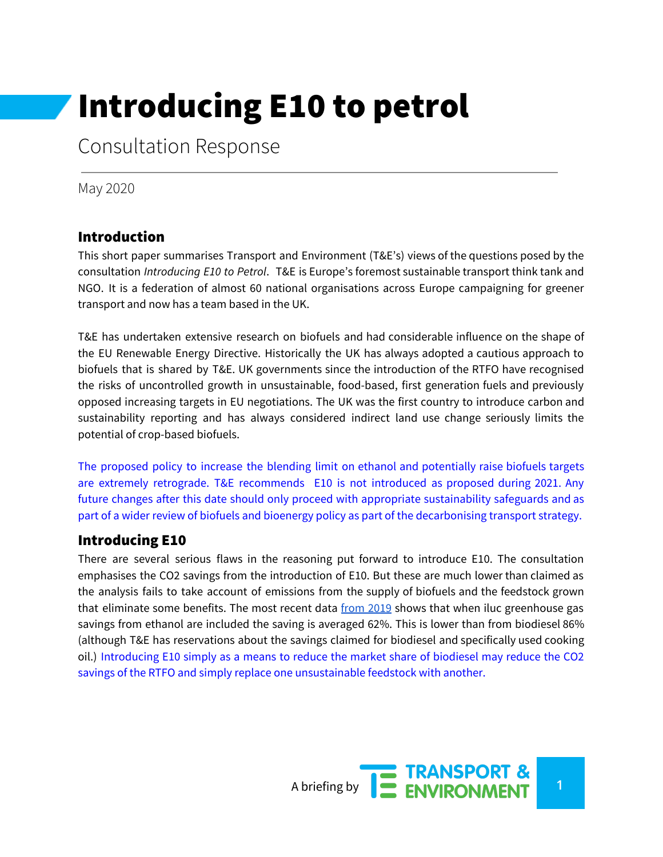# Introducing E10 to petrol

Consultation Response

May 2020

## Introduction

This short paper summarises Transport and Environment (T&E's) views of the questions posed by the consultation *Introducing E10 to Petrol*. T&E is Europe's foremost sustainable transport think tank and NGO. It is a federation of almost 60 national organisations across Europe campaigning for greener transport and now has a team based in the UK.

T&E has undertaken extensive research on biofuels and had considerable influence on the shape of the EU Renewable Energy Directive. Historically the UK has always adopted a cautious approach to biofuels that is shared by T&E. UK governments since the introduction of the RTFO have recognised the risks of uncontrolled growth in unsustainable, food-based, first generation fuels and previously opposed increasing targets in EU negotiations. The UK was the first country to introduce carbon and sustainability reporting and has always considered indirect land use change seriously limits the potential of crop-based biofuels.

The proposed policy to increase the blending limit on ethanol and potentially raise biofuels targets are extremely retrograde. T&E recommends E10 is not introduced as proposed during 2021. Any future changes after this date should only proceed with appropriate sustainability safeguards and as part of a wider review of biofuels and bioenergy policy as part of the decarbonising transport strategy.

### Introducing E10

There are several serious flaws in the reasoning put forward to introduce E10. The consultation emphasises the CO2 savings from the introduction of E10. But these are much lower than claimed as the analysis fails to take account of emissions from the supply of biofuels and the feedstock grown that eliminate some benefits. The most recent data [from](https://www.gov.uk/government/statistics/renewable-fuel-statistics-2019-third-provisional-report) 2019 shows that when iluc greenhouse gas savings from ethanol are included the saving is averaged 62%. This is lower than from biodiesel 86% (although T&E has reservations about the savings claimed for biodiesel and specifically used cooking oil.) Introducing E10 simply as a means to reduce the market share of biodiesel may reduce the CO2 savings of the RTFO and simply replace one unsustainable feedstock with another.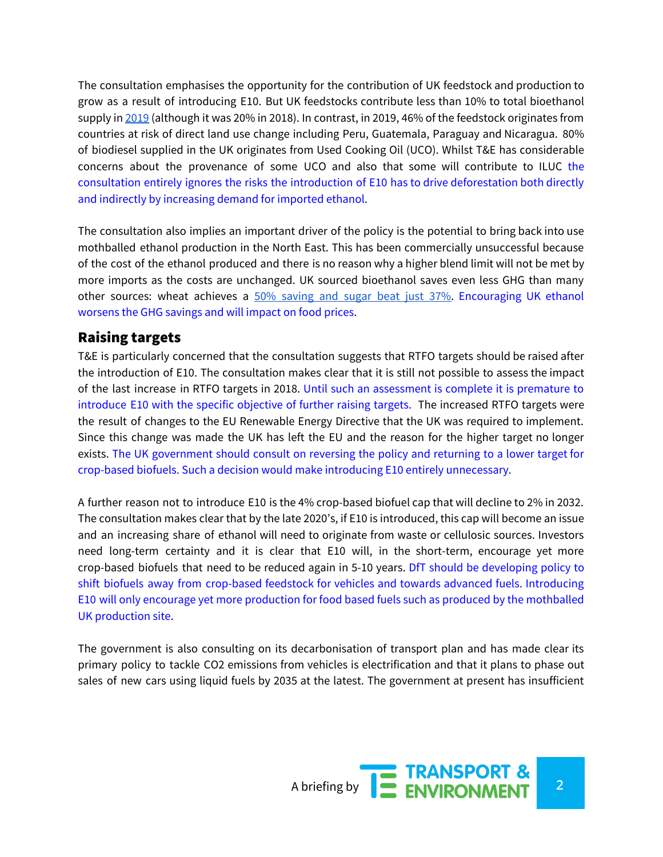The consultation emphasises the opportunity for the contribution of UK feedstock and production to grow as a result of introducing E10. But UK feedstocks contribute less than 10% to total bioethanol supply in [2019](https://www.gov.uk/government/statistics/renewable-fuel-statistics-2019-third-provisional-report) (although it was 20% in 2018). In contrast, in 2019, 46% of the feedstock originates from countries at risk of direct land use change including Peru, Guatemala, Paraguay and Nicaragua. 80% of biodiesel supplied in the UK originates from Used Cooking Oil (UCO). Whilst T&E has considerable concerns about the provenance of some UCO and also that some will contribute to ILUC the consultation entirely ignores the risks the introduction of E10 has to drive deforestation both directly and indirectly by increasing demand for imported ethanol.

The consultation also implies an important driver of the policy is the potential to bring back into use mothballed ethanol production in the North East. This has been commercially unsuccessful because of the cost of the ethanol produced and there is no reason why a higher blend limit will not be met by more imports as the costs are unchanged. UK sourced bioethanol saves even less GHG than many other sources: wheat achieves a 50% [saving](https://www.gov.uk/government/statistics/renewable-fuel-statistics-2019-third-provisional-report) and sugar beat just 37%. Encouraging UK ethanol worsens the GHG savings and will impact on food prices.

### Raising targets

T&E is particularly concerned that the consultation suggests that RTFO targets should be raised after the introduction of E10. The consultation makes clear that it is still not possible to assess the impact of the last increase in RTFO targets in 2018. Until such an assessment is complete it is premature to introduce E10 with the specific objective of further raising targets. The increased RTFO targets were the result of changes to the EU Renewable Energy Directive that the UK was required to implement. Since this change was made the UK has left the EU and the reason for the higher target no longer exists. The UK government should consult on reversing the policy and returning to a lower target for crop-based biofuels. Such a decision would make introducing E10 entirely unnecessary.

A further reason not to introduce E10 is the 4% crop-based biofuel cap that will decline to 2% in 2032. The consultation makes clear that by the late 2020's, if E10 is introduced, this cap will become an issue and an increasing share of ethanol will need to originate from waste or cellulosic sources. Investors need long-term certainty and it is clear that E10 will, in the short-term, encourage yet more crop-based biofuels that need to be reduced again in 5-10 years. DfT should be developing policy to shift biofuels away from crop-based feedstock for vehicles and towards advanced fuels. Introducing E10 will only encourage yet more production for food based fuels such as produced by the mothballed UK production site.

The government is also consulting on its decarbonisation of transport plan and has made clear its primary policy to tackle CO2 emissions from vehicles is electrification and that it plans to phase out sales of new cars using liquid fuels by 2035 at the latest. The government at present has insufficient